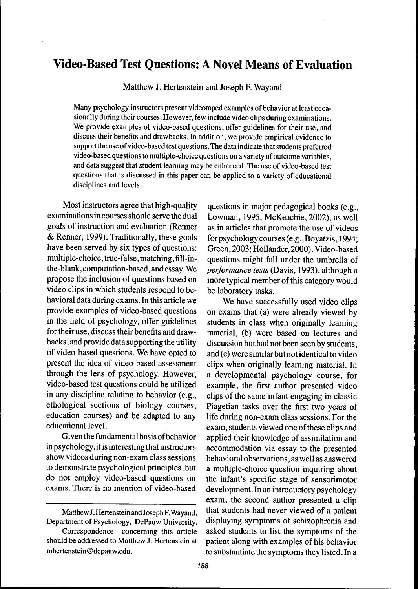# Video-Based Test Questions: A Novel Means of Evaluation

Matthew J. Hertenstein and Joseph F. Way and

Many psychology instructors present videotaped examples of behavior at least occasionally during their courses. However, few include video clips during examinations. We provide examples of video-based questions, offer guidelines for their use, and discuss their benefits and drawbacks. In addition, we provide empirical evidence to support the use of video-based test questions. The data indicate that students preferred video-based questions to multiple-choice questions on a variety of outcome variables, and data suggest that student leaming may be enhanced. The use of video-based test questions that is discussed in this paper can be applied to a variety of educational disciplines and levels.

Most instructors agree that high-quality examinations in courses should serve the dual goals of instruction and evaluation (Renner & Renner, 1999). Traditionally, these goals have been served by six types of questions: multiple-choice, true-false, matching, fiU-inthe-blank, computation-based, and essay. We propose the inclusion of questions based on video clips in which students respond to behavioral data during exams. In this article we provide examples of video-based questions in the field of psychology, offer guidelines for their use, discuss their benefits and drawbacks , and provide data supporting the utility of video-based questions. We have opted to present the idea of video-based assessment through the lens of psychology. However, video-based test questions could be utilized in any discipline relating to behavior (e.g., ethological sections of biology courses, education courses) and be adapted to any educational level.

Given the fundamental basis of behavior in psychology, it is interesting that instructors show videos during non-exam class sessions to demonstrate psychological principles, but do not employ video-based questions on exams. There is no mention of video-based

questions in major pedagogical books (e.g., Lowman, 1995; McKeachie, 2002), as well as in articles that promote the use of videos for psychology courses (e.g.,Boyatzis, 1994; Green, 2003; Hollander, 2000). Video-based questions might fall under the umbrella of *performance tests* (Davis, 1993), although a more typical member of this category would be laboratory tasks.

We have successfully used video clips on exams that (a) were already viewed by students in class when originally learning material, (b) were based on lectures and discussion but had not been seen by students, and (c) were similar but not identical to video clips when originally leaming material. In a developmental psychology course, for example, the first author presented video clips of the same infant engaging in classic Piagetian tasks over the first two years of life during non-exam class sessions. For the exam, students viewed one of these clips and applied their knowledge of assimilation and accommodation via essay to the presented behavioral observations, as well as answered a multiple-choice question inquiring about the infant's specific stage of sensorimotor development. In an introductory psychology exam, the second author presented a clip that students had never viewed of a patient displaying symptoms of schizophrenia and asked students to list the symptoms of the patient along with examples of his behavior to substantiate the symptoms they listed. In a

Matthew J. Hertenstein and Joseph F. Way and, Department of Psychology, DePauw University.

Correspondence conceming this article should be addressed to Matthew J. Hertenstein at mhertenstein @ depauw.edu.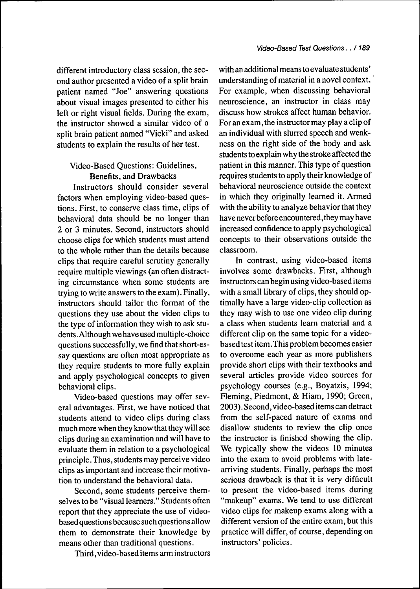different introductory class session, the second author presented a video of a split brain patient named "Joe" answering questions about visual images presented to either his left or right visual fields. During the exam, the instructor showed a similar video of a split brain patient named "Vicki" and asked students to explain the results of her test.

## Video-Based Questions: Guidelines, Benefits, and Drawbacks

Instructors should consider several factors when employing video-based questions. First, to conserve class time, clips of behavioral data should be no longer than 2 or 3 minutes. Second, instructors should choose clips for which students must attend to the whole rather than the details because clips that require careful scrutiny generally require multiple viewings (an often distracting circumstance when some students are trying to write answers to the exam). Finally, instructors should tailor the format of the questions they use about the video clips to the type of information they wish to ask students. Although we have used multiple-choice questions successfully, we find that short-essay questions are often most appropriate as they require students to more fully explain and apply psychological concepts to given behavioral clips.

Video-based questions may offer several advantages. First, we have noticed that students attend to video clips during class much more when they know that they will see clips during an examination and will have to evaluate them in relation to a psychological principle.Thus, students may perceive video clips as important and increase their motivation to understand the behavioral data.

Second, some students perceive themselves to be "visual learners." Students often report that they appreciate the use of videobased questions because such questions allow them to demonstrate their knowledge by means other than traditional questions.

Third, video-based items arm instructors

with an additional means to evaluate students ' understanding of material in a novel context. For example, when discussing behavioral neuroscience, an instructor in class may discuss how strokes affect human behavior. For an exam, the instructor may play a clip of an individual with slurred speech and weakness on the right side of the body and ask students to explain why the stroke affected the patient in this manner. This type of question requires students to apply their knowledge of behavioral neuroscience outside the context in which they originally learned it. Armed with the ability to analyze behavior that they have never before encountered, they may have increased confidence to apply psychological concepts to their observations outside the classroom.

In contrast, using video-based items involves some drawbacks. First, although instructors can begin using video-based items with a small library of clips, they should optimally have a large video-clip collection as they may wish to use one video clip during a class when students learn material and a different clip on the same topic for a videobased test item. This problem becomes easier to overcome each year as more publishers provide short clips with their textbooks and several articles provide video sources for psychology courses (e.g., Boyatzis, 1994; Fleming, Piedmont, & Hiam, 1990; Green, 2003). Second, video-based items can detract from the self-paced nature of exams and disallow students to review the clip once the instructor is finished showing the clip. We typically show the videos 10 minutes into the exam to avoid problems with latearriving students. Finally, perhaps the most serious drawback is that it is very difficult to present the video-based items during "makeup" exams. We tend to use different video clips for makeup exams along with a different version of the entire exam, but this practice will differ, of course, depending on instructors' policies.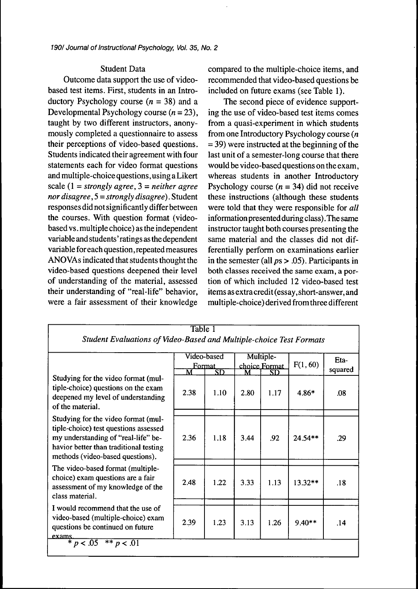### Student Data

Outcome data support the use of videobased test items. First, students in an Introductory Psychology course *(n =* 38) and a Developmental Psychology course  $(n = 23)$ , taught by two different instructors, anonymously completed a questionnaire to assess their perceptions of video-based questions. Students indicated their agreement with four statements each for video format questions and multiple-choice questions, using a Likert scale (1 = *strongly agree, 3 = neither agree nor disagree,* 5 *- strongly disagree).* Student responses didnotsignificantly differ between the courses. With question format (videobased vs. multiple choice) as the independent variable and students ' ratings as the dependent variable for each question, repeated measures ANO VAs indicated that students thought the video-based questions deepened their level of understanding of the material, assessed their understanding of "real-life" behavior, were a fair assessment of their knowledge

compared to the multiple-choice items, and recommended that video-based questions be included on future exams (see Table 1).

The second piece of evidence supporting the use of video-based test items comes from a quasi-experiment in which students from one Introductory Psychology course *(n =* 39) were instructed at the beginning of the last unit of a semester-long course that there would be video-based questions on the exam, whereas students in another Introductory Psychology course  $(n = 34)$  did not receive these instructions (although these students were told that they were responsible for *all* information presented during class). The same instructor taught both courses presenting the same material and the classes did not differentially perform on examinations earlier in the semester (all  $ps > .05$ ). Participants in both classes received the same exam, a portion of which included 12 video-based test items as extra credit (essay, short-answer, and multiple-choice) derived from three different

|                                                                                                                                                                                                   | Video-based<br><u>Format</u> |                                | Multiple-<br>choice Format<br>M <sub>_</sub>   _ SD_ |      | F(1, 60) | Eta-<br>squared |
|---------------------------------------------------------------------------------------------------------------------------------------------------------------------------------------------------|------------------------------|--------------------------------|------------------------------------------------------|------|----------|-----------------|
| Studying for the video format (mul-<br>tiple-choice) questions on the exam<br>deepened my level of understanding<br>of the material.                                                              | M<br>2.38                    | $\overline{\text{SD}}$<br>1.10 | 2.80                                                 | 1.17 | $4.86*$  | .08             |
| Studying for the video format (mul-<br>tiple-choice) test questions assessed<br>my understanding of "real-life" be-<br>havior better than traditional testing<br>methods (video-based questions). | 2.36                         | 1.18                           | 3.44                                                 | .92  | 24.54**  | .29             |
| The video-based format (multiple-<br>choice) exam questions are a fair<br>assessment of my knowledge of the<br>class material.                                                                    | 2.48                         | 1.22                           | 3.33                                                 | 1.13 | 13.32**  | .18             |
| I would recommend that the use of<br>video-based (multiple-choice) exam<br>questions be continued on future<br>exams.<br>* $p < .05$ ** $p < .01$                                                 | 2.39                         | 1.23                           | 3.13                                                 | 1.26 | 9.40**   | .14             |

 $T_{\rm a}$   $T_{\rm a}$   $T_{\rm a}$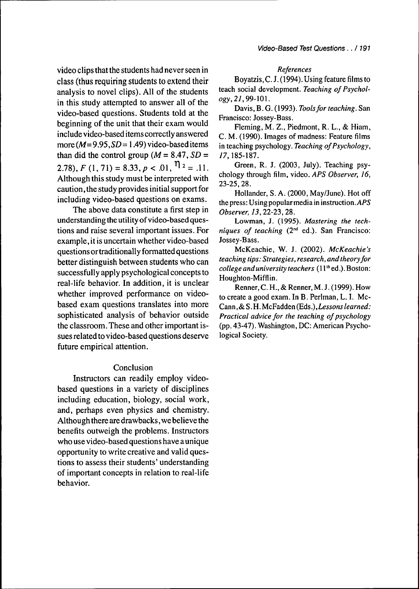video clips that the students had never seen in class (thus requiring students to extend their analysis to novel clips). All of the students in this study attempted to answer all of the video-based questions. Students told at the beginning of the unit that their exam would include video-based items correctly answered more ( $M=9.95$ ,  $SD = 1.49$ ) video-based items than did the control group ( $M = 8.47$ ,  $SD =$ 2.78),  $F(1,71) = 8.33, p < .01, \eta_2 = .11.$ Although this study must be interpreted with caution, the study provides initial support for including video-based questions on exams.

The above data constitute a first step in understanding the utility of video-based questions and raise several important issues. For example, it is uncertain whether video-based questions ortraditionally formatted questions better distinguish between students who can successfully apply psychological concepts to real-life behavior. In addition, it is unclear whether improved performance on videobased exam questions translates into more sophisticated analysis of behavior outside the classroom. These and other important issues related to video-based questions deserve future empirical attention.

#### Conclusion

Instructors can readily employ videobased questions in a variety of disciplines including education, biology, social work, and, perhaps even physics and chemistry. Although there are drawbacks, we believe the benefits outweigh the problems. Instructors who use video-based questions have a unique opportunity to write creative and valid questions to assess their students' understanding of important concepts in relation to real-life behavior.

#### *Rejerences*

Boyatzis, C. J. (1994). Using feature films to teach social development. *Teaching oj Psychology, 21,99-\0\.*

Davis, B. G. (1993). *Tools for teaching*. San Francisco: Jossey-Bass.

Fleming, M. Z., Piedmont, R. L., & Hiam, C. M. (1990). Images of madness: Feature films in teaching psychology. Teaching of Psychology, 77,185-187.

Green, R. J. (2003, July). Teaching psychology through film, video. *APS Observer, 16,* 23-25,28.

Hollander, S.A. (2000, May/June). Hot off the press: Using popular media in instruction. $APS$ *Observer, 13,22-27,,2%.*

Lowman, J. (1995). *Mastering the tech* $niques$  *of teaching* ( $2<sup>nd</sup>$  ed.). San Francisco: Jossey-Bass.

McKeachie, W. J. (2002). *McKeachie's teaching tips: Strategies, research, and theory Jor college and university teachers* (11"' ed.). Boston: Houghton-Miffiin.

Renner, C. H., & Renner, M. J. ( 1999). How to create a good exam. In B. Perlman, L. I. Mc-Cann, & S. H. McFadden (Eds.), *Lessons learned: Practical advice for the teaching of psychology* (pp. 43-47). Washington,DC: American Psychological Society.